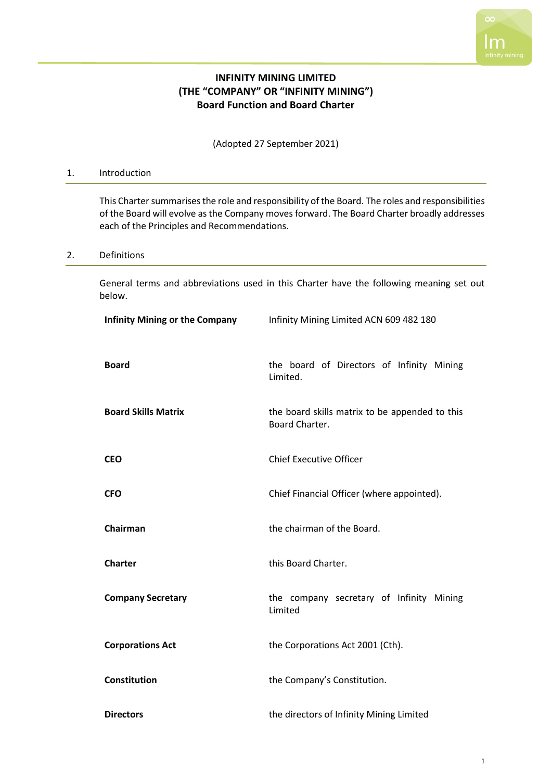

# **INFINITY MINING LIMITED (THE "COMPANY" OR "INFINITY MINING") Board Function and Board Charter**

(Adopted 27 September 2021)

# 1. Introduction

This Charter summarises the role and responsibility of the Board. The roles and responsibilities of the Board will evolve as the Company moves forward. The Board Charter broadly addresses each of the Principles and Recommendations.

#### 2. Definitions

General terms and abbreviations used in this Charter have the following meaning set out below.

| <b>Infinity Mining or the Company</b> | Infinity Mining Limited ACN 609 482 180                          |
|---------------------------------------|------------------------------------------------------------------|
| <b>Board</b>                          | the board of Directors of Infinity Mining<br>Limited.            |
| <b>Board Skills Matrix</b>            | the board skills matrix to be appended to this<br>Board Charter. |
| <b>CEO</b>                            | <b>Chief Executive Officer</b>                                   |
| <b>CFO</b>                            | Chief Financial Officer (where appointed).                       |
| Chairman                              | the chairman of the Board.                                       |
| <b>Charter</b>                        | this Board Charter.                                              |
| <b>Company Secretary</b>              | the company secretary of Infinity Mining<br>Limited              |
| <b>Corporations Act</b>               | the Corporations Act 2001 (Cth).                                 |
| Constitution                          | the Company's Constitution.                                      |
| <b>Directors</b>                      | the directors of Infinity Mining Limited                         |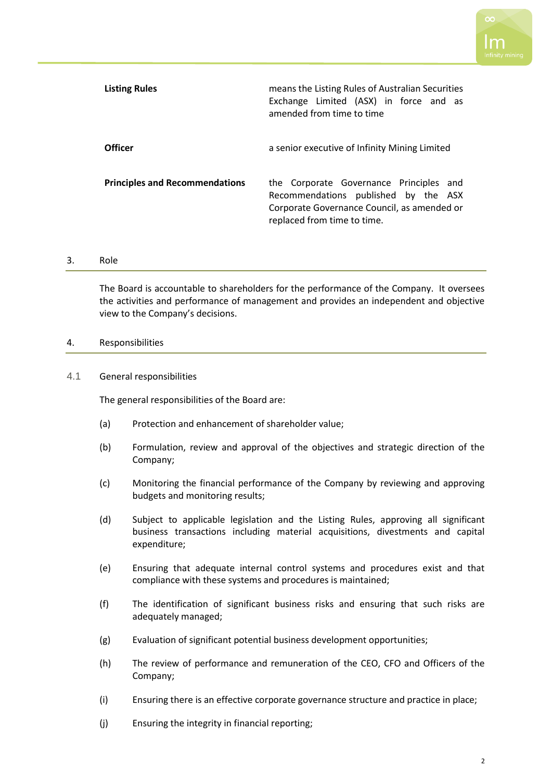

| <b>Listing Rules</b>                  | means the Listing Rules of Australian Securities<br>Exchange Limited (ASX) in force and as<br>amended from time to time                                       |
|---------------------------------------|---------------------------------------------------------------------------------------------------------------------------------------------------------------|
| <b>Officer</b>                        | a senior executive of Infinity Mining Limited                                                                                                                 |
| <b>Principles and Recommendations</b> | the Corporate Governance Principles and<br>Recommendations published by the ASX<br>Corporate Governance Council, as amended or<br>replaced from time to time. |

#### 3. Role

The Board is accountable to shareholders for the performance of the Company. It oversees the activities and performance of management and provides an independent and objective view to the Company's decisions.

#### 4. Responsibilities

# 4.1 General responsibilities

The general responsibilities of the Board are:

- (a) Protection and enhancement of shareholder value;
- (b) Formulation, review and approval of the objectives and strategic direction of the Company;
- (c) Monitoring the financial performance of the Company by reviewing and approving budgets and monitoring results;
- (d) Subject to applicable legislation and the Listing Rules, approving all significant business transactions including material acquisitions, divestments and capital expenditure;
- (e) Ensuring that adequate internal control systems and procedures exist and that compliance with these systems and procedures is maintained;
- (f) The identification of significant business risks and ensuring that such risks are adequately managed;
- (g) Evaluation of significant potential business development opportunities;
- (h) The review of performance and remuneration of the CEO, CFO and Officers of the Company;
- (i) Ensuring there is an effective corporate governance structure and practice in place;
- (j) Ensuring the integrity in financial reporting;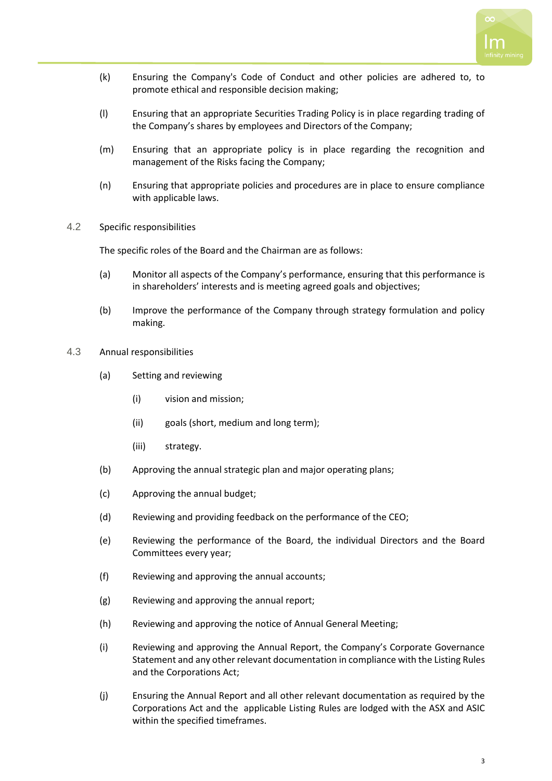

- (k) Ensuring the Company's Code of Conduct and other policies are adhered to, to promote ethical and responsible decision making;
- (l) Ensuring that an appropriate Securities Trading Policy is in place regarding trading of the Company's shares by employees and Directors of the Company;
- (m) Ensuring that an appropriate policy is in place regarding the recognition and management of the Risks facing the Company;
- (n) Ensuring that appropriate policies and procedures are in place to ensure compliance with applicable laws.
- 4.2 Specific responsibilities

The specific roles of the Board and the Chairman are as follows:

- (a) Monitor all aspects of the Company's performance, ensuring that this performance is in shareholders' interests and is meeting agreed goals and objectives;
- (b) Improve the performance of the Company through strategy formulation and policy making.
- 4.3 Annual responsibilities
	- (a) Setting and reviewing
		- (i) vision and mission;
		- (ii) goals (short, medium and long term);
		- (iii) strategy.
	- (b) Approving the annual strategic plan and major operating plans;
	- (c) Approving the annual budget;
	- (d) Reviewing and providing feedback on the performance of the CEO;
	- (e) Reviewing the performance of the Board, the individual Directors and the Board Committees every year;
	- (f) Reviewing and approving the annual accounts;
	- (g) Reviewing and approving the annual report;
	- (h) Reviewing and approving the notice of Annual General Meeting;
	- (i) Reviewing and approving the Annual Report, the Company's Corporate Governance Statement and any other relevant documentation in compliance with the Listing Rules and the Corporations Act;
	- (j) Ensuring the Annual Report and all other relevant documentation as required by the Corporations Act and the applicable Listing Rules are lodged with the ASX and ASIC within the specified timeframes.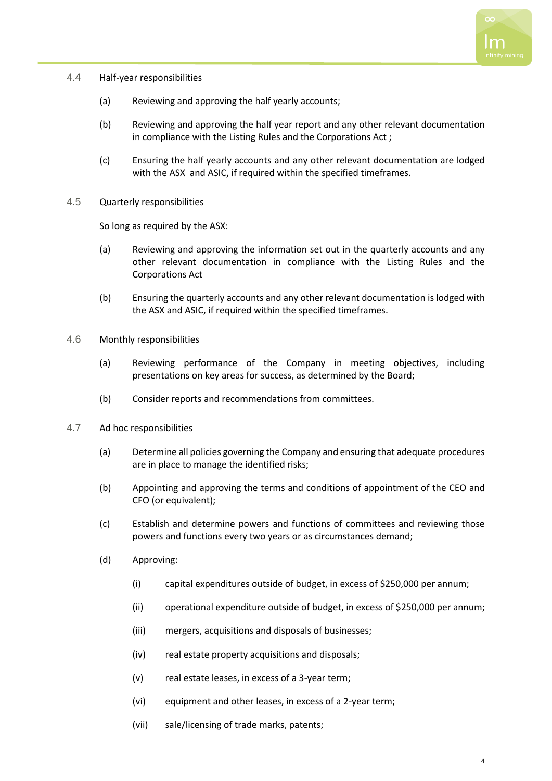

- 4.4 Half-year responsibilities
	- (a) Reviewing and approving the half yearly accounts;
	- (b) Reviewing and approving the half year report and any other relevant documentation in compliance with the Listing Rules and the Corporations Act ;
	- (c) Ensuring the half yearly accounts and any other relevant documentation are lodged with the ASX and ASIC, if required within the specified timeframes.
- 4.5 Quarterly responsibilities

So long as required by the ASX:

- (a) Reviewing and approving the information set out in the quarterly accounts and any other relevant documentation in compliance with the Listing Rules and the Corporations Act
- (b) Ensuring the quarterly accounts and any other relevant documentation is lodged with the ASX and ASIC, if required within the specified timeframes.
- 4.6 Monthly responsibilities
	- (a) Reviewing performance of the Company in meeting objectives, including presentations on key areas for success, as determined by the Board;
	- (b) Consider reports and recommendations from committees.
- 4.7 Ad hoc responsibilities
	- (a) Determine all policies governing the Company and ensuring that adequate procedures are in place to manage the identified risks;
	- (b) Appointing and approving the terms and conditions of appointment of the CEO and CFO (or equivalent);
	- (c) Establish and determine powers and functions of committees and reviewing those powers and functions every two years or as circumstances demand;
	- (d) Approving:
		- (i) capital expenditures outside of budget, in excess of \$250,000 per annum;
		- (ii) operational expenditure outside of budget, in excess of \$250,000 per annum;
		- (iii) mergers, acquisitions and disposals of businesses;
		- (iv) real estate property acquisitions and disposals;
		- (v) real estate leases, in excess of a 3-year term;
		- (vi) equipment and other leases, in excess of a 2-year term;
		- (vii) sale/licensing of trade marks, patents;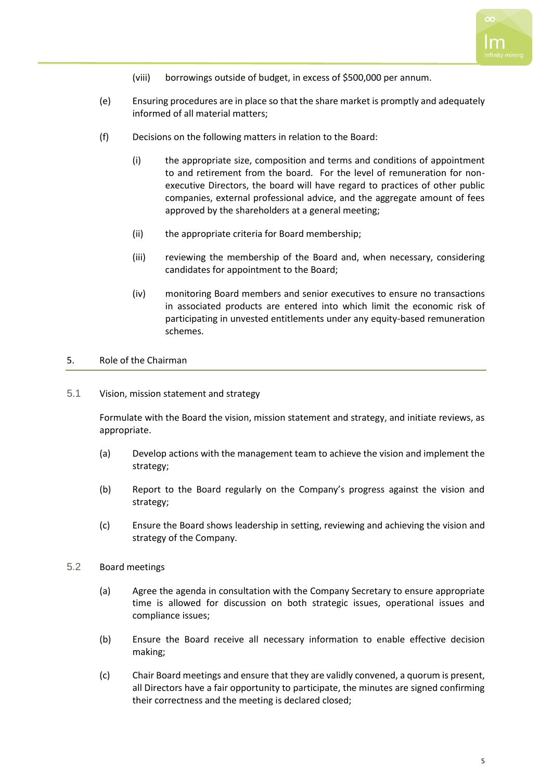

- (viii) borrowings outside of budget, in excess of \$500,000 per annum.
- (e) Ensuring procedures are in place so that the share market is promptly and adequately informed of all material matters;
- (f) Decisions on the following matters in relation to the Board:
	- (i) the appropriate size, composition and terms and conditions of appointment to and retirement from the board. For the level of remuneration for nonexecutive Directors, the board will have regard to practices of other public companies, external professional advice, and the aggregate amount of fees approved by the shareholders at a general meeting;
	- (ii) the appropriate criteria for Board membership;
	- (iii) reviewing the membership of the Board and, when necessary, considering candidates for appointment to the Board;
	- (iv) monitoring Board members and senior executives to ensure no transactions in associated products are entered into which limit the economic risk of participating in unvested entitlements under any equity-based remuneration schemes.

# 5. Role of the Chairman

5.1 Vision, mission statement and strategy

Formulate with the Board the vision, mission statement and strategy, and initiate reviews, as appropriate.

- (a) Develop actions with the management team to achieve the vision and implement the strategy;
- (b) Report to the Board regularly on the Company's progress against the vision and strategy;
- (c) Ensure the Board shows leadership in setting, reviewing and achieving the vision and strategy of the Company.
- 5.2 Board meetings
	- (a) Agree the agenda in consultation with the Company Secretary to ensure appropriate time is allowed for discussion on both strategic issues, operational issues and compliance issues;
	- (b) Ensure the Board receive all necessary information to enable effective decision making;
	- (c) Chair Board meetings and ensure that they are validly convened, a quorum is present, all Directors have a fair opportunity to participate, the minutes are signed confirming their correctness and the meeting is declared closed;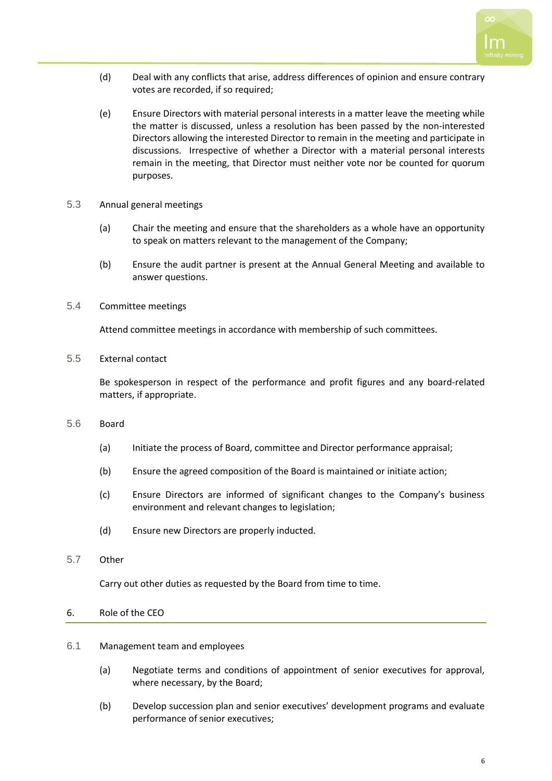

- (d) Deal with any conflicts that arise, address differences of opinion and ensure contrary votes are recorded, if so required;
- (e) Ensure Directors with material personal interests in a matter leave the meeting while the matter is discussed, unless a resolution has been passed by the non-interested Directors allowing the interested Director to remain in the meeting and participate in discussions. Irrespective of whether a Director with a material personal interests remain in the meeting, that Director must neither vote nor be counted for quorum purposes.
- 5.3 Annual general meetings
	- (a) Chair the meeting and ensure that the shareholders as a whole have an opportunity to speak on matters relevant to the management of the Company;
	- (b) Ensure the audit partner is present at the Annual General Meeting and available to answer questions.
- 5.4 Committee meetings

Attend committee meetings in accordance with membership of such committees.

5.5 External contact

Be spokesperson in respect of the performance and profit figures and any board-related matters, if appropriate.

- 5.6 Board
	- (a) Initiate the process of Board, committee and Director performance appraisal;
	- (b) Ensure the agreed composition of the Board is maintained or initiate action;
	- (c) Ensure Directors are informed of significant changes to the Company's business environment and relevant changes to legislation;
	- (d) Ensure new Directors are properly inducted.
- 5.7 Other

Carry out other duties as requested by the Board from time to time.

#### 6. Role of the CEO

## 6.1 Management team and employees

- (a) Negotiate terms and conditions of appointment of senior executives for approval, where necessary, by the Board;
- (b) Develop succession plan and senior executives' development programs and evaluate performance of senior executives;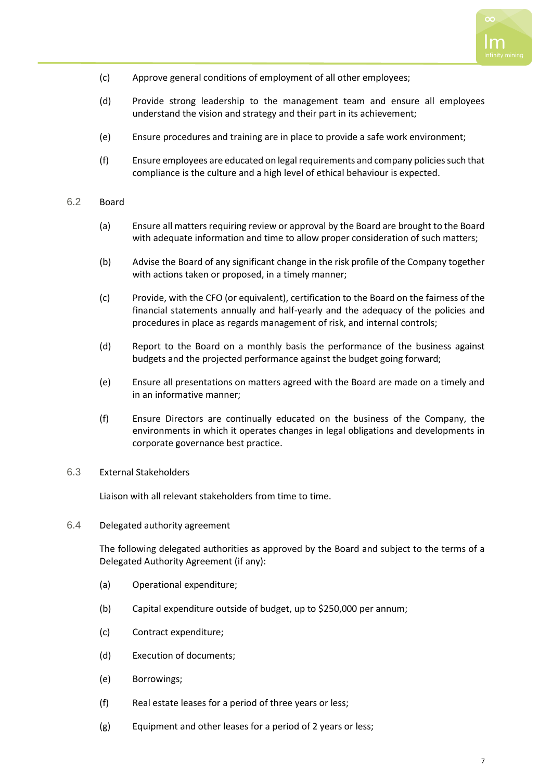

- (c) Approve general conditions of employment of all other employees;
- (d) Provide strong leadership to the management team and ensure all employees understand the vision and strategy and their part in its achievement;
- (e) Ensure procedures and training are in place to provide a safe work environment;
- (f) Ensure employees are educated on legal requirements and company policies such that compliance is the culture and a high level of ethical behaviour is expected.

## 6.2 Board

- (a) Ensure all matters requiring review or approval by the Board are brought to the Board with adequate information and time to allow proper consideration of such matters;
- (b) Advise the Board of any significant change in the risk profile of the Company together with actions taken or proposed, in a timely manner;
- (c) Provide, with the CFO (or equivalent), certification to the Board on the fairness of the financial statements annually and half-yearly and the adequacy of the policies and procedures in place as regards management of risk, and internal controls;
- (d) Report to the Board on a monthly basis the performance of the business against budgets and the projected performance against the budget going forward;
- (e) Ensure all presentations on matters agreed with the Board are made on a timely and in an informative manner;
- (f) Ensure Directors are continually educated on the business of the Company, the environments in which it operates changes in legal obligations and developments in corporate governance best practice.

#### 6.3 External Stakeholders

Liaison with all relevant stakeholders from time to time.

6.4 Delegated authority agreement

The following delegated authorities as approved by the Board and subject to the terms of a Delegated Authority Agreement (if any):

- (a) Operational expenditure;
- (b) Capital expenditure outside of budget, up to \$250,000 per annum;
- (c) Contract expenditure;
- (d) Execution of documents;
- (e) Borrowings;
- (f) Real estate leases for a period of three years or less;
- (g) Equipment and other leases for a period of 2 years or less;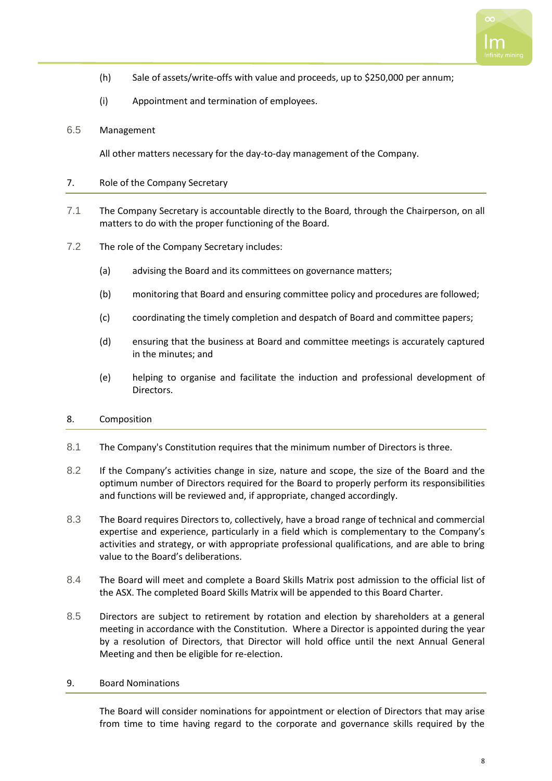

- (h) Sale of assets/write-offs with value and proceeds, up to \$250,000 per annum;
- (i) Appointment and termination of employees.

## 6.5 Management

All other matters necessary for the day-to-day management of the Company.

## 7. Role of the Company Secretary

- 7.1 The Company Secretary is accountable directly to the Board, through the Chairperson, on all matters to do with the proper functioning of the Board.
- 7.2 The role of the Company Secretary includes:
	- (a) advising the Board and its committees on governance matters;
	- (b) monitoring that Board and ensuring committee policy and procedures are followed;
	- (c) coordinating the timely completion and despatch of Board and committee papers;
	- (d) ensuring that the business at Board and committee meetings is accurately captured in the minutes; and
	- (e) helping to organise and facilitate the induction and professional development of Directors.

#### 8. Composition

- 8.1 The Company's Constitution requires that the minimum number of Directors is three.
- 8.2 If the Company's activities change in size, nature and scope, the size of the Board and the optimum number of Directors required for the Board to properly perform its responsibilities and functions will be reviewed and, if appropriate, changed accordingly.
- 8.3 The Board requires Directors to, collectively, have a broad range of technical and commercial expertise and experience, particularly in a field which is complementary to the Company's activities and strategy, or with appropriate professional qualifications, and are able to bring value to the Board's deliberations.
- 8.4 The Board will meet and complete a Board Skills Matrix post admission to the official list of the ASX. The completed Board Skills Matrix will be appended to this Board Charter.
- 8.5 Directors are subject to retirement by rotation and election by shareholders at a general meeting in accordance with the Constitution. Where a Director is appointed during the year by a resolution of Directors, that Director will hold office until the next Annual General Meeting and then be eligible for re-election.

#### 9. Board Nominations

The Board will consider nominations for appointment or election of Directors that may arise from time to time having regard to the corporate and governance skills required by the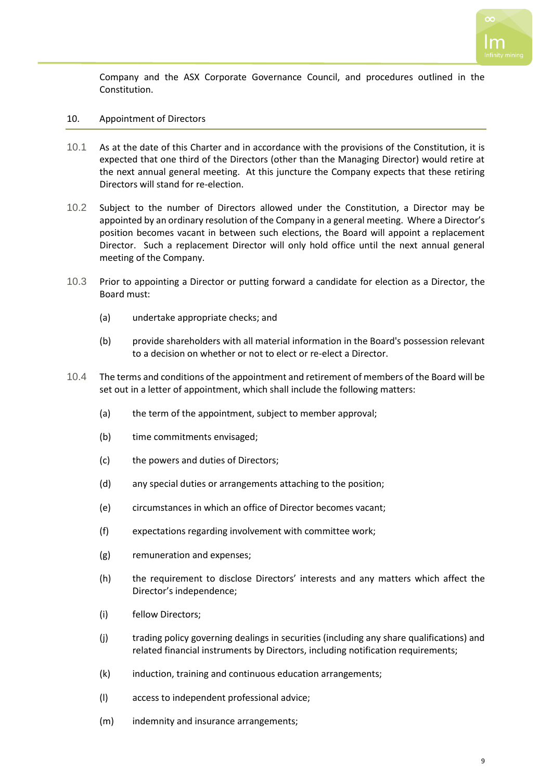

Company and the ASX Corporate Governance Council, and procedures outlined in the Constitution.

- 10. Appointment of Directors
- 10.1 As at the date of this Charter and in accordance with the provisions of the Constitution, it is expected that one third of the Directors (other than the Managing Director) would retire at the next annual general meeting. At this juncture the Company expects that these retiring Directors will stand for re-election.
- 10.2 Subject to the number of Directors allowed under the Constitution, a Director may be appointed by an ordinary resolution of the Company in a general meeting. Where a Director's position becomes vacant in between such elections, the Board will appoint a replacement Director. Such a replacement Director will only hold office until the next annual general meeting of the Company.
- 10.3 Prior to appointing a Director or putting forward a candidate for election as a Director, the Board must:
	- (a) undertake appropriate checks; and
	- (b) provide shareholders with all material information in the Board's possession relevant to a decision on whether or not to elect or re-elect a Director.
- 10.4 The terms and conditions of the appointment and retirement of members of the Board will be set out in a letter of appointment, which shall include the following matters:
	- (a) the term of the appointment, subject to member approval;
	- (b) time commitments envisaged;
	- (c) the powers and duties of Directors;
	- (d) any special duties or arrangements attaching to the position;
	- (e) circumstances in which an office of Director becomes vacant;
	- (f) expectations regarding involvement with committee work;
	- (g) remuneration and expenses;
	- (h) the requirement to disclose Directors' interests and any matters which affect the Director's independence;
	- (i) fellow Directors;
	- (j) trading policy governing dealings in securities (including any share qualifications) and related financial instruments by Directors, including notification requirements;
	- (k) induction, training and continuous education arrangements;
	- (l) access to independent professional advice;
	- (m) indemnity and insurance arrangements;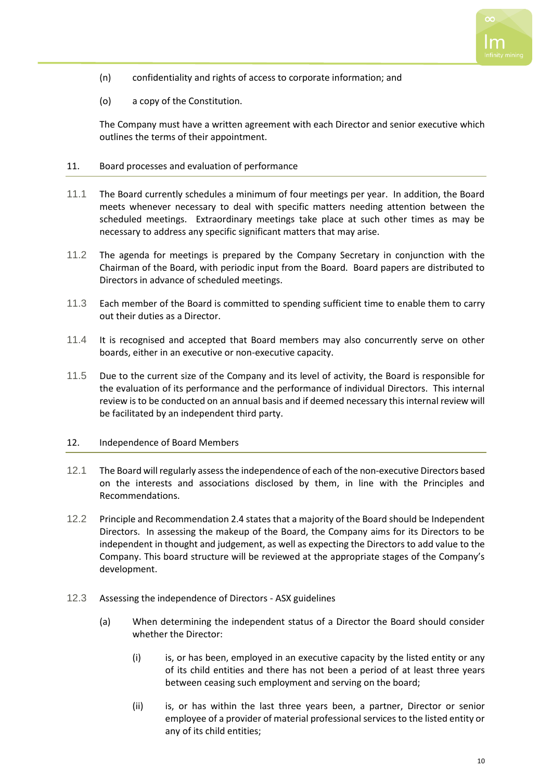

- (n) confidentiality and rights of access to corporate information; and
- (o) a copy of the Constitution.

The Company must have a written agreement with each Director and senior executive which outlines the terms of their appointment.

#### 11. Board processes and evaluation of performance

- 11.1 The Board currently schedules a minimum of four meetings per year. In addition, the Board meets whenever necessary to deal with specific matters needing attention between the scheduled meetings. Extraordinary meetings take place at such other times as may be necessary to address any specific significant matters that may arise.
- 11.2 The agenda for meetings is prepared by the Company Secretary in conjunction with the Chairman of the Board, with periodic input from the Board. Board papers are distributed to Directors in advance of scheduled meetings.
- 11.3 Each member of the Board is committed to spending sufficient time to enable them to carry out their duties as a Director.
- 11.4 It is recognised and accepted that Board members may also concurrently serve on other boards, either in an executive or non-executive capacity.
- 11.5 Due to the current size of the Company and its level of activity, the Board is responsible for the evaluation of its performance and the performance of individual Directors. This internal review is to be conducted on an annual basis and if deemed necessary this internal review will be facilitated by an independent third party.

#### 12. Independence of Board Members

- 12.1 The Board will regularly assess the independence of each of the non-executive Directors based on the interests and associations disclosed by them, in line with the Principles and Recommendations.
- 12.2 Principle and Recommendation 2.4 states that a majority of the Board should be Independent Directors. In assessing the makeup of the Board, the Company aims for its Directors to be independent in thought and judgement, as well as expecting the Directors to add value to the Company. This board structure will be reviewed at the appropriate stages of the Company's development.
- 12.3 Assessing the independence of Directors ASX guidelines
	- (a) When determining the independent status of a Director the Board should consider whether the Director:
		- (i) is, or has been, employed in an executive capacity by the listed entity or any of its child entities and there has not been a period of at least three years between ceasing such employment and serving on the board;
		- (ii) is, or has within the last three years been, a partner, Director or senior employee of a provider of material professional services to the listed entity or any of its child entities;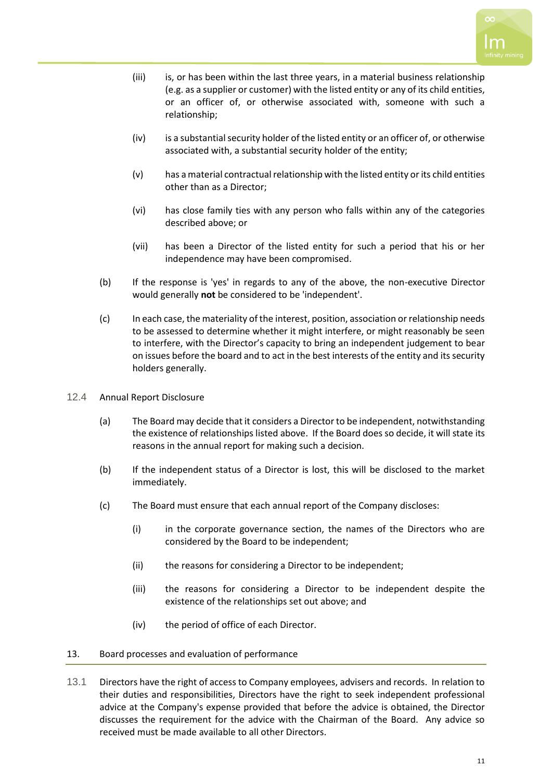

- (iii) is, or has been within the last three years, in a material business relationship (e.g. as a supplier or customer) with the listed entity or any of its child entities, or an officer of, or otherwise associated with, someone with such a relationship;
- (iv) is a substantial security holder of the listed entity or an officer of, or otherwise associated with, a substantial security holder of the entity;
- (v) has a material contractual relationship with the listed entity or its child entities other than as a Director;
- (vi) has close family ties with any person who falls within any of the categories described above; or
- (vii) has been a Director of the listed entity for such a period that his or her independence may have been compromised.
- (b) If the response is 'yes' in regards to any of the above, the non-executive Director would generally **not** be considered to be 'independent'.
- (c) In each case, the materiality of the interest, position, association or relationship needs to be assessed to determine whether it might interfere, or might reasonably be seen to interfere, with the Director's capacity to bring an independent judgement to bear on issues before the board and to act in the best interests of the entity and its security holders generally.
- 12.4 Annual Report Disclosure
	- (a) The Board may decide that it considers a Director to be independent, notwithstanding the existence of relationships listed above. If the Board does so decide, it will state its reasons in the annual report for making such a decision.
	- (b) If the independent status of a Director is lost, this will be disclosed to the market immediately.
	- (c) The Board must ensure that each annual report of the Company discloses:
		- (i) in the corporate governance section, the names of the Directors who are considered by the Board to be independent;
		- (ii) the reasons for considering a Director to be independent;
		- (iii) the reasons for considering a Director to be independent despite the existence of the relationships set out above; and
		- (iv) the period of office of each Director.

# 13. Board processes and evaluation of performance

13.1 Directors have the right of access to Company employees, advisers and records. In relation to their duties and responsibilities, Directors have the right to seek independent professional advice at the Company's expense provided that before the advice is obtained, the Director discusses the requirement for the advice with the Chairman of the Board. Any advice so received must be made available to all other Directors.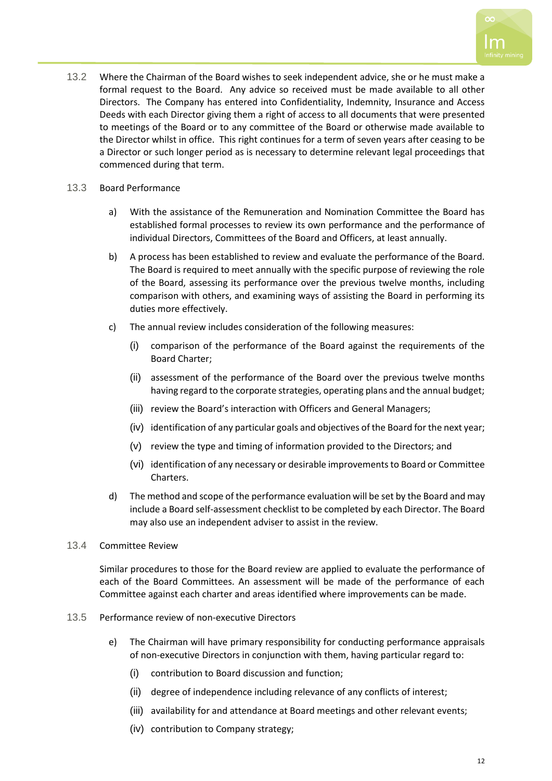

13.2 Where the Chairman of the Board wishes to seek independent advice, she or he must make a formal request to the Board. Any advice so received must be made available to all other Directors. The Company has entered into Confidentiality, Indemnity, Insurance and Access Deeds with each Director giving them a right of access to all documents that were presented to meetings of the Board or to any committee of the Board or otherwise made available to the Director whilst in office. This right continues for a term of seven years after ceasing to be a Director or such longer period as is necessary to determine relevant legal proceedings that commenced during that term.

## 13.3 Board Performance

- a) With the assistance of the Remuneration and Nomination Committee the Board has established formal processes to review its own performance and the performance of individual Directors, Committees of the Board and Officers, at least annually.
- b) A process has been established to review and evaluate the performance of the Board. The Board is required to meet annually with the specific purpose of reviewing the role of the Board, assessing its performance over the previous twelve months, including comparison with others, and examining ways of assisting the Board in performing its duties more effectively.
- c) The annual review includes consideration of the following measures:
	- (i) comparison of the performance of the Board against the requirements of the Board Charter;
	- (ii) assessment of the performance of the Board over the previous twelve months having regard to the corporate strategies, operating plans and the annual budget;
	- (iii) review the Board's interaction with Officers and General Managers;
	- (iv) identification of any particular goals and objectives of the Board for the next year;
	- (v) review the type and timing of information provided to the Directors; and
	- (vi) identification of any necessary or desirable improvements to Board or Committee Charters.
- d) The method and scope of the performance evaluation will be set by the Board and may include a Board self-assessment checklist to be completed by each Director. The Board may also use an independent adviser to assist in the review.
- 13.4 Committee Review

Similar procedures to those for the Board review are applied to evaluate the performance of each of the Board Committees. An assessment will be made of the performance of each Committee against each charter and areas identified where improvements can be made.

- 13.5 Performance review of non-executive Directors
	- e) The Chairman will have primary responsibility for conducting performance appraisals of non-executive Directors in conjunction with them, having particular regard to:
		- (i) contribution to Board discussion and function;
		- (ii) degree of independence including relevance of any conflicts of interest;
		- (iii) availability for and attendance at Board meetings and other relevant events;
		- (iv) contribution to Company strategy;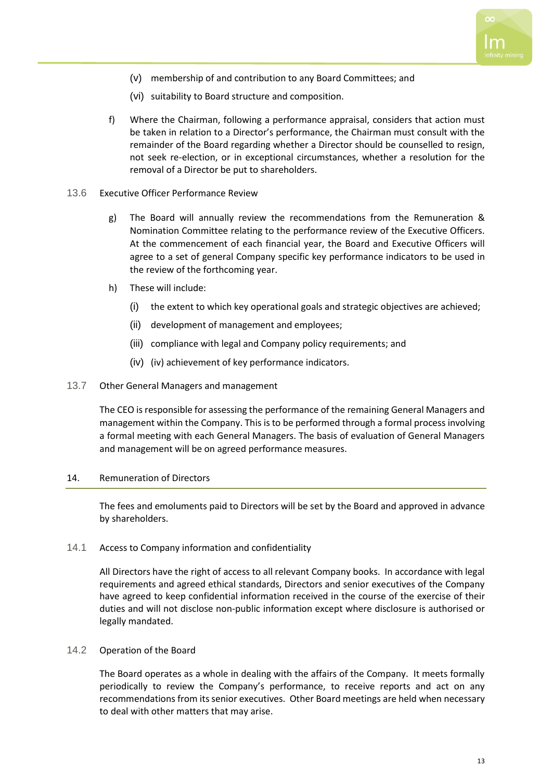

- (v) membership of and contribution to any Board Committees; and
- (vi) suitability to Board structure and composition.
- f) Where the Chairman, following a performance appraisal, considers that action must be taken in relation to a Director's performance, the Chairman must consult with the remainder of the Board regarding whether a Director should be counselled to resign, not seek re-election, or in exceptional circumstances, whether a resolution for the removal of a Director be put to shareholders.

#### 13.6 Executive Officer Performance Review

- g) The Board will annually review the recommendations from the Remuneration & Nomination Committee relating to the performance review of the Executive Officers. At the commencement of each financial year, the Board and Executive Officers will agree to a set of general Company specific key performance indicators to be used in the review of the forthcoming year.
- h) These will include:
	- (i) the extent to which key operational goals and strategic objectives are achieved;
	- (ii) development of management and employees;
	- (iii) compliance with legal and Company policy requirements; and
	- (iv) (iv) achievement of key performance indicators.

#### 13.7 Other General Managers and management

The CEO is responsible for assessing the performance of the remaining General Managers and management within the Company. This is to be performed through a formal process involving a formal meeting with each General Managers. The basis of evaluation of General Managers and management will be on agreed performance measures.

#### 14. Remuneration of Directors

The fees and emoluments paid to Directors will be set by the Board and approved in advance by shareholders.

#### 14.1 Access to Company information and confidentiality

All Directors have the right of access to all relevant Company books. In accordance with legal requirements and agreed ethical standards, Directors and senior executives of the Company have agreed to keep confidential information received in the course of the exercise of their duties and will not disclose non-public information except where disclosure is authorised or legally mandated.

#### 14.2 Operation of the Board

The Board operates as a whole in dealing with the affairs of the Company. It meets formally periodically to review the Company's performance, to receive reports and act on any recommendations from its senior executives. Other Board meetings are held when necessary to deal with other matters that may arise.